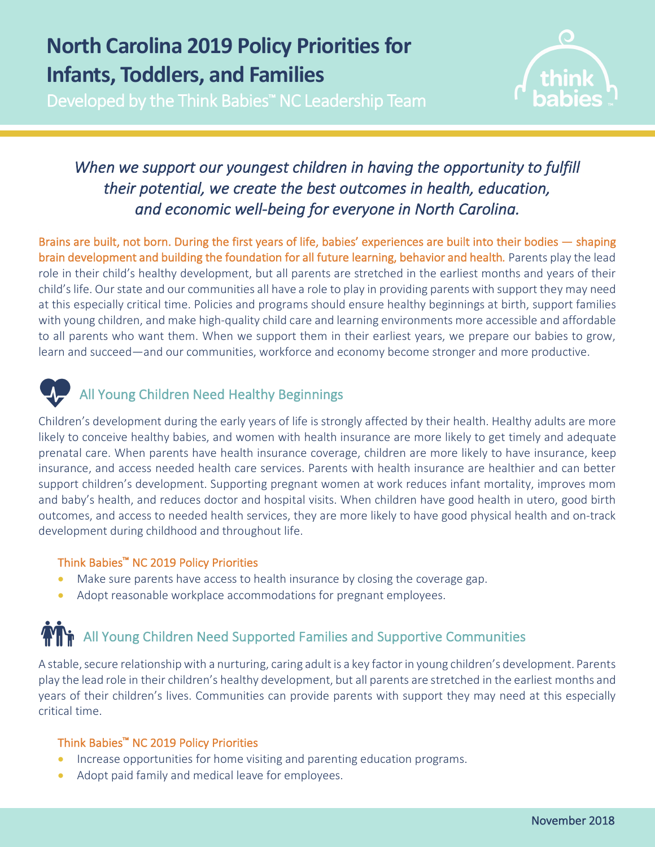## **North Carolina 2019 Policy Priorities for Infants, Toddlers, and Families**

Developed by the Think Babies™ NC Leadership Team



## *When we support our youngest children in having the opportunity to fulfill their potential, we create the best outcomes in health, education, and economic well-being for everyone in North Carolina.*

Brains are built, not born. During the first years of life, babies' experiences are built into their bodies — shaping brain development and building the foundation for all future learning, behavior and health*.* Parents play the lead role in their child's healthy development, but all parents are stretched in the earliest months and years of their child's life. Our state and our communities all have a role to play in providing parents with support they may need at this especially critical time. Policies and programs should ensure healthy beginnings at birth, support families with young children, and make high-quality child care and learning environments more accessible and affordable to all parents who want them. When we support them in their earliest years, we prepare our babies to grow, learn and succeed—and our communities, workforce and economy become stronger and more productive.



### All Young Children Need Healthy Beginnings

Children's development during the early years of life is strongly affected by their health. Healthy adults are more likely to conceive healthy babies, and women with health insurance are more likely to get timely and adequate prenatal care. When parents have health insurance coverage, children are more likely to have insurance, keep insurance, and access needed health care services. Parents with health insurance are healthier and can better support children's development. Supporting pregnant women at work reduces infant mortality, improves mom and baby's health, and reduces doctor and hospital visits. When children have good health in utero, good birth outcomes, and access to needed health services, they are more likely to have good physical health and on-track development during childhood and throughout life.

### Think Babies™ NC 2019 Policy Priorities

- Make sure parents have access to health insurance by closing the coverage gap.
- Adopt reasonable workplace accommodations for pregnant employees.

## All Young Children Need Supported Families and Supportive Communities

A stable, secure relationship with a nurturing, caring adult is a key factor in young children's development. Parents play the lead role in their children's healthy development, but all parents are stretched in the earliest months and years of their children's lives. Communities can provide parents with support they may need at this especially critical time.

### Think Babies™ NC 2019 Policy Priorities

- Increase opportunities for home visiting and parenting education programs.
- Adopt paid family and medical leave for employees.